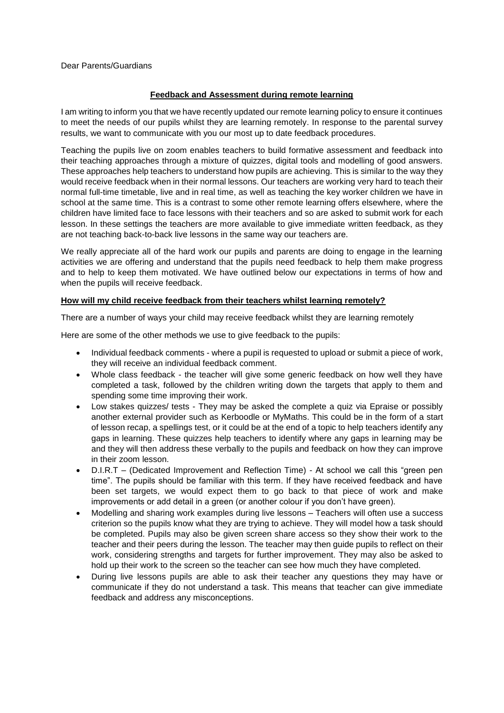#### Dear Parents/Guardians

#### **Feedback and Assessment during remote learning**

I am writing to inform you that we have recently updated our remote learning policy to ensure it continues to meet the needs of our pupils whilst they are learning remotely. In response to the parental survey results, we want to communicate with you our most up to date feedback procedures.

Teaching the pupils live on zoom enables teachers to build formative assessment and feedback into their teaching approaches through a mixture of quizzes, digital tools and modelling of good answers. These approaches help teachers to understand how pupils are achieving. This is similar to the way they would receive feedback when in their normal lessons. Our teachers are working very hard to teach their normal full-time timetable, live and in real time, as well as teaching the key worker children we have in school at the same time. This is a contrast to some other remote learning offers elsewhere, where the children have limited face to face lessons with their teachers and so are asked to submit work for each lesson. In these settings the teachers are more available to give immediate written feedback, as they are not teaching back-to-back live lessons in the same way our teachers are.

We really appreciate all of the hard work our pupils and parents are doing to engage in the learning activities we are offering and understand that the pupils need feedback to help them make progress and to help to keep them motivated. We have outlined below our expectations in terms of how and when the pupils will receive feedback.

#### **How will my child receive feedback from their teachers whilst learning remotely?**

There are a number of ways your child may receive feedback whilst they are learning remotely

Here are some of the other methods we use to give feedback to the pupils:

- Individual feedback comments where a pupil is requested to upload or submit a piece of work, they will receive an individual feedback comment.
- Whole class feedback the teacher will give some generic feedback on how well they have completed a task, followed by the children writing down the targets that apply to them and spending some time improving their work.
- Low stakes quizzes/ tests They may be asked the complete a quiz via Epraise or possibly another external provider such as Kerboodle or MyMaths. This could be in the form of a start of lesson recap, a spellings test, or it could be at the end of a topic to help teachers identify any gaps in learning. These quizzes help teachers to identify where any gaps in learning may be and they will then address these verbally to the pupils and feedback on how they can improve in their zoom lesson.
- D.I.R.T (Dedicated Improvement and Reflection Time) At school we call this "green pen time". The pupils should be familiar with this term. If they have received feedback and have been set targets, we would expect them to go back to that piece of work and make improvements or add detail in a green (or another colour if you don't have green).
- Modelling and sharing work examples during live lessons Teachers will often use a success criterion so the pupils know what they are trying to achieve. They will model how a task should be completed. Pupils may also be given screen share access so they show their work to the teacher and their peers during the lesson. The teacher may then guide pupils to reflect on their work, considering strengths and targets for further improvement. They may also be asked to hold up their work to the screen so the teacher can see how much they have completed.
- During live lessons pupils are able to ask their teacher any questions they may have or communicate if they do not understand a task. This means that teacher can give immediate feedback and address any misconceptions.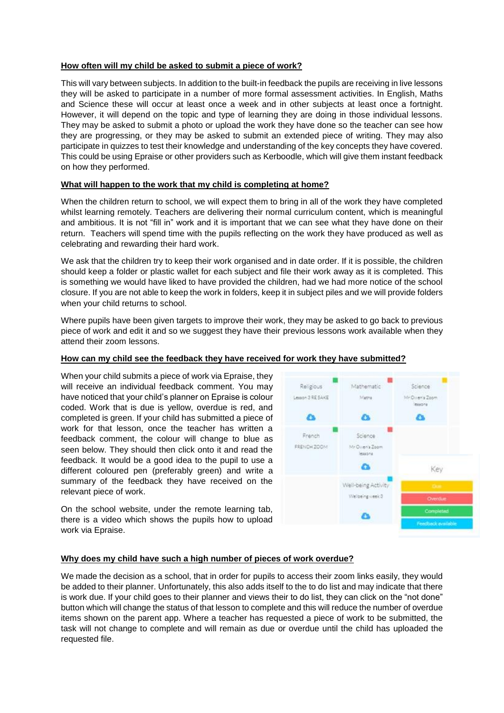# **How often will my child be asked to submit a piece of work?**

This will vary between subjects. In addition to the built-in feedback the pupils are receiving in live lessons they will be asked to participate in a number of more formal assessment activities. In English, Maths and Science these will occur at least once a week and in other subjects at least once a fortnight. However, it will depend on the topic and type of learning they are doing in those individual lessons. They may be asked to submit a photo or upload the work they have done so the teacher can see how they are progressing, or they may be asked to submit an extended piece of writing. They may also participate in quizzes to test their knowledge and understanding of the key concepts they have covered. This could be using Epraise or other providers such as Kerboodle, which will give them instant feedback on how they performed.

## **What will happen to the work that my child is completing at home?**

When the children return to school, we will expect them to bring in all of the work they have completed whilst learning remotely. Teachers are delivering their normal curriculum content, which is meaningful and ambitious. It is not "fill in" work and it is important that we can see what they have done on their return. Teachers will spend time with the pupils reflecting on the work they have produced as well as celebrating and rewarding their hard work.

We ask that the children try to keep their work organised and in date order. If it is possible, the children should keep a folder or plastic wallet for each subject and file their work away as it is completed. This is something we would have liked to have provided the children, had we had more notice of the school closure. If you are not able to keep the work in folders, keep it in subject piles and we will provide folders when your child returns to school.

Where pupils have been given targets to improve their work, they may be asked to go back to previous piece of work and edit it and so we suggest they have their previous lessons work available when they attend their zoom lessons.

# **How can my child see the feedback they have received for work they have submitted?**

When your child submits a piece of work via Epraise, they will receive an individual feedback comment. You may have noticed that your child's planner on Epraise is colour coded. Work that is due is yellow, overdue is red, and completed is green. If your child has submitted a piece of work for that lesson, once the teacher has written a feedback comment, the colour will change to blue as seen below. They should then click onto it and read the feedback. It would be a good idea to the pupil to use a different coloured pen (preferably green) and write a summary of the feedback they have received on the relevant piece of work.

On the school website, under the remote learning tab, there is a video which shows the pupils how to upload work via Epraise.



## **Why does my child have such a high number of pieces of work overdue?**

We made the decision as a school, that in order for pupils to access their zoom links easily, they would be added to their planner. Unfortunately, this also adds itself to the to do list and may indicate that there is work due. If your child goes to their planner and views their to do list, they can click on the "not done" button which will change the status of that lesson to complete and this will reduce the number of overdue items shown on the parent app. Where a teacher has requested a piece of work to be submitted, the task will not change to complete and will remain as due or overdue until the child has uploaded the requested file.